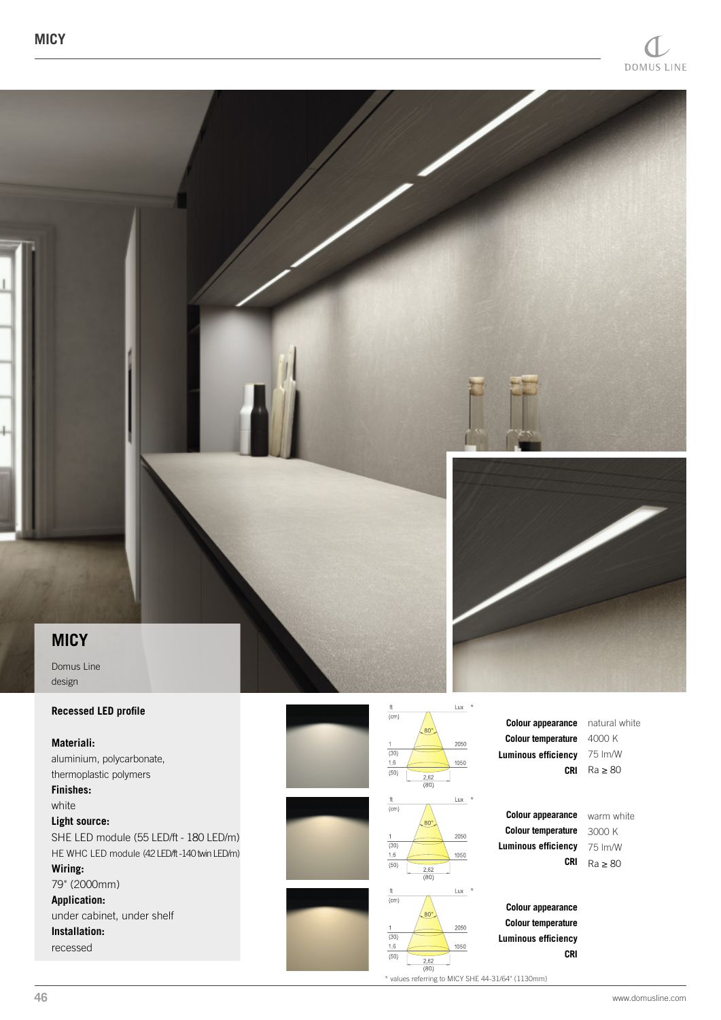

# **MICY**

Domus Line design

### **Recessed LED profile**

**Materiali:** aluminium, polycarbonate, thermoplastic polymers **Finishes:** white **Light source:** SHE LED module (55 LED/ft - 180 LED/m) HE WHC LED module (42 LED/ft -140 twin LED/m) **Wiring:** 79" (2000mm) **Application:** under cabinet, under shelf **Installation:** recessed